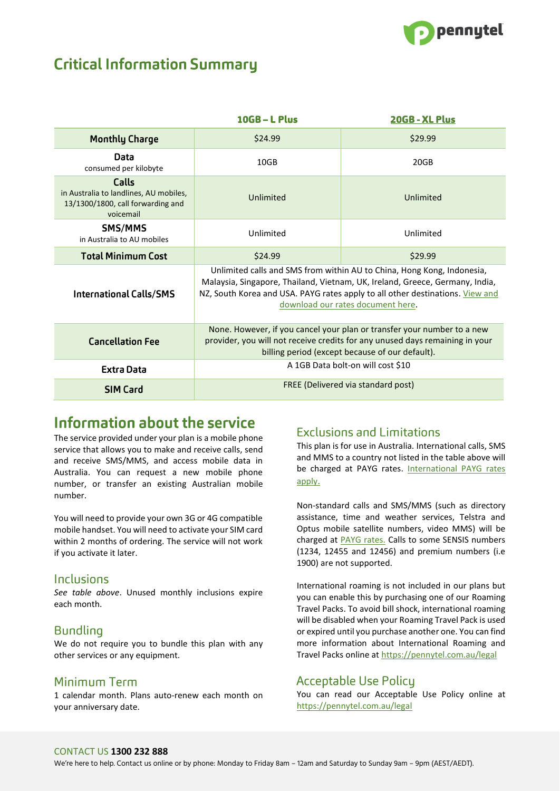

# **Critical Information Summary**

|                                                                                                   | $10GB - L$ Plus                                                                                                                                                                                                                                                              | 20GB - XL Plus |
|---------------------------------------------------------------------------------------------------|------------------------------------------------------------------------------------------------------------------------------------------------------------------------------------------------------------------------------------------------------------------------------|----------------|
| <b>Monthly Charge</b>                                                                             | \$24.99                                                                                                                                                                                                                                                                      | \$29.99        |
| Data<br>consumed per kilobyte                                                                     | 10GB                                                                                                                                                                                                                                                                         | 20GB           |
| Calls<br>in Australia to landlines, AU mobiles,<br>13/1300/1800, call forwarding and<br>voicemail | Unlimited                                                                                                                                                                                                                                                                    | Unlimited      |
| SMS/MMS<br>in Australia to AU mobiles                                                             | Unlimited                                                                                                                                                                                                                                                                    | Unlimited      |
| <b>Total Minimum Cost</b>                                                                         | \$24.99                                                                                                                                                                                                                                                                      | \$29.99        |
| <b>International Calls/SMS</b>                                                                    | Unlimited calls and SMS from within AU to China, Hong Kong, Indonesia,<br>Malaysia, Singapore, Thailand, Vietnam, UK, Ireland, Greece, Germany, India,<br>NZ, South Korea and USA. PAYG rates apply to all other destinations. View and<br>download our rates document here. |                |
| <b>Cancellation Fee</b>                                                                           | None. However, if you cancel your plan or transfer your number to a new<br>provider, you will not receive credits for any unused days remaining in your<br>billing period (except because of our default).                                                                   |                |
| <b>Extra Data</b>                                                                                 | A 1GB Data bolt-on will cost \$10                                                                                                                                                                                                                                            |                |
| <b>SIM Card</b>                                                                                   | FREE (Delivered via standard post)                                                                                                                                                                                                                                           |                |

## Information about the service

The service provided under your plan is a mobile phone service that allows you to make and receive calls, send and receive SMS/MMS, and access mobile data in Australia. You can request a new mobile phone number, or transfer an existing Australian mobile number.

You will need to provide your own 3G or 4G compatible mobile handset. You will need to activate your SIM card within 2 months of ordering. The service will not work if you activate it later.

### **Inclusions**

*See table above*. Unused monthly inclusions expire each month.

### **Bundling**

We do not require you to bundle this plan with any other services or any equipment.

### Minimum Term

1 calendar month. Plans auto-renew each month on your anniversary date.

### **Exclusions and Limitations**

This plan is for use in Australia. International calls, SMS and MMS to a country not listed in the table above will be charged at PAYG rates. [International PAYG rates](https://pennytel.com.au/legal)  [apply](https://pennytel.com.au/legal).

Non-standard calls and SMS/MMS (such as directory assistance, time and weather services, Telstra and Optus mobile satellite numbers, video MMS) will be charged at [PAYG rates.](https://pennytel.com.au/legal) Calls to some SENSIS numbers (1234, 12455 and 12456) and premium numbers (i.e 1900) are not supported.

International roaming is not included in our plans but you can enable this by purchasing one of our Roaming Travel Packs. To avoid bill shock, international roaming will be disabled when your Roaming Travel Pack is used or expired until you purchase another one. You can find more information about International Roaming and Travel Packs online at<https://pennytel.com.au/legal>

### **Acceptable Use Policy**

You can read our Acceptable Use Policy online at <https://pennytel.com.au/legal>

### CONTACT US **1300 232 888**

We're here to help. Contact us online or by phone: Monday to Friday 8am – 12am and Saturday to Sunday 9am – 9pm (AEST/AEDT).